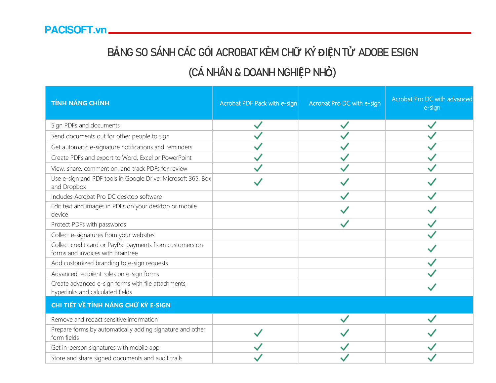## B**Ả**NG SO SÁNH CÁC GÓI ACROBAT KÈM CH**Ữ** KÝ **Đ**I**Ệ**N T**Ử** ADOBE ESIGN (CÁ NHÂN & DOANH NGHI**Ệ**P NH**Ỏ**)

| <b>TÍNH NĂNG CHÍNH</b>                                                                        | Acrobat PDF Pack with e-sign | Acrobat Pro DC with e-sign | Acrobat Pro DC with advanced<br>e-sign |
|-----------------------------------------------------------------------------------------------|------------------------------|----------------------------|----------------------------------------|
| Sign PDFs and documents                                                                       |                              |                            |                                        |
| Send documents out for other people to sign                                                   |                              |                            |                                        |
| Get automatic e-signature notifications and reminders                                         |                              |                            |                                        |
| Create PDFs and export to Word, Excel or PowerPoint                                           |                              |                            |                                        |
| View, share, comment on, and track PDFs for review                                            |                              |                            |                                        |
| Use e-sign and PDF tools in Google Drive, Microsoft 365, Box<br>and Dropbox                   |                              |                            |                                        |
| Includes Acrobat Pro DC desktop software                                                      |                              |                            |                                        |
| Edit text and images in PDFs on your desktop or mobile<br>device                              |                              |                            |                                        |
| Protect PDFs with passwords                                                                   |                              |                            |                                        |
| Collect e-signatures from your websites                                                       |                              |                            |                                        |
| Collect credit card or PayPal payments from customers on<br>forms and invoices with Braintree |                              |                            |                                        |
| Add customized branding to e-sign requests                                                    |                              |                            |                                        |
| Advanced recipient roles on e-sign forms                                                      |                              |                            |                                        |
| Create advanced e-sign forms with file attachments,<br>hyperlinks and calculated fields       |                              |                            |                                        |
| CHI TIẾT VỀ TÍNH NĂNG CHỮ KÝ E-SIGN                                                           |                              |                            |                                        |
| Remove and redact sensitive information                                                       |                              |                            |                                        |
| Prepare forms by automatically adding signature and other<br>form fields                      |                              |                            |                                        |
| Get in-person signatures with mobile app                                                      |                              |                            |                                        |
| Store and share signed documents and audit trails                                             |                              |                            |                                        |